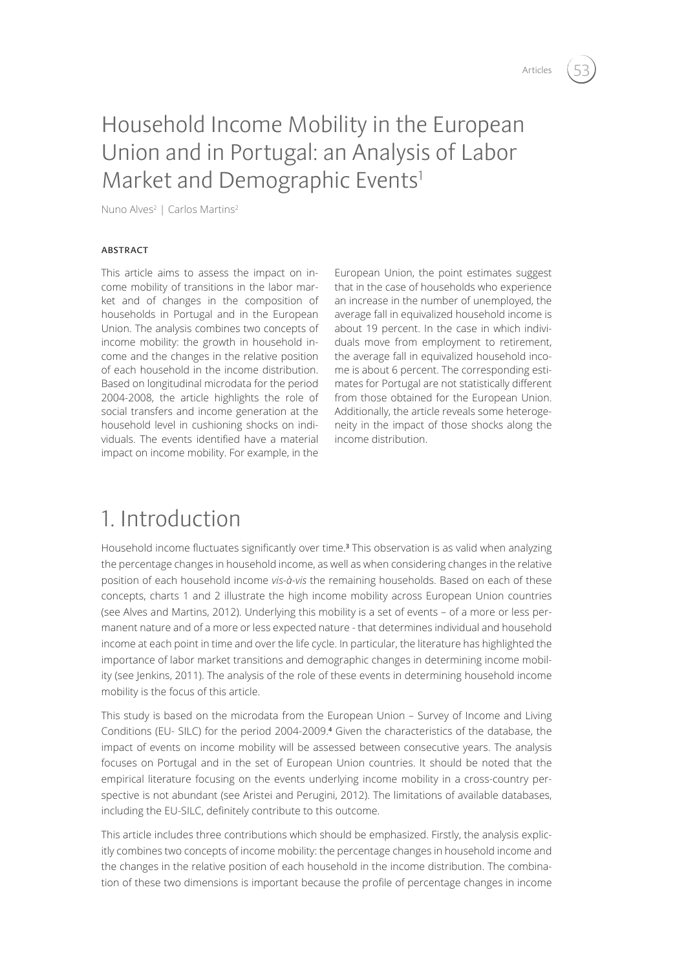# Household Income Mobility in the European Union and in Portugal: an Analysis of Labor Market and Demographic Events<sup>1</sup>

Nuno Alves<sup>2</sup> | Carlos Martins<sup>2</sup>

### **ABSTRACT**

This article aims to assess the impact on income mobility of transitions in the labor market and of changes in the composition of households in Portugal and in the European Union. The analysis combines two concepts of income mobility: the growth in household income and the changes in the relative position of each household in the income distribution. Based on longitudinal microdata for the period 2004-2008, the article highlights the role of social transfers and income generation at the household level in cushioning shocks on individuals. The events identified have a material impact on income mobility. For example, in the

European Union, the point estimates suggest that in the case of households who experience an increase in the number of unemployed, the average fall in equivalized household income is about 19 percent. In the case in which individuals move from employment to retirement, the average fall in equivalized household income is about 6 percent. The corresponding estimates for Portugal are not statistically different from those obtained for the European Union. Additionally, the article reveals some heterogeneity in the impact of those shocks along the income distribution.

## 1. Introduction

Household income fluctuates significantly over time.**3** This observation is as valid when analyzing the percentage changes in household income, as well as when considering changes in the relative position of each household income *vis-à-vis* the remaining households. Based on each of these concepts, charts 1 and 2 illustrate the high income mobility across European Union countries (see Alves and Martins, 2012). Underlying this mobility is a set of events – of a more or less permanent nature and of a more or less expected nature - that determines individual and household income at each point in time and over the life cycle. In particular, the literature has highlighted the importance of labor market transitions and demographic changes in determining income mobility (see Jenkins, 2011). The analysis of the role of these events in determining household income mobility is the focus of this article.

This study is based on the microdata from the European Union – Survey of Income and Living Conditions (EU- SILC) for the period 2004-2009.**4** Given the characteristics of the database, the impact of events on income mobility will be assessed between consecutive years. The analysis focuses on Portugal and in the set of European Union countries. It should be noted that the empirical literature focusing on the events underlying income mobility in a cross-country perspective is not abundant (see Aristei and Perugini, 2012). The limitations of available databases, including the EU-SILC, definitely contribute to this outcome.

This article includes three contributions which should be emphasized. Firstly, the analysis explicitly combines two concepts of income mobility: the percentage changes in household income and the changes in the relative position of each household in the income distribution. The combination of these two dimensions is important because the profile of percentage changes in income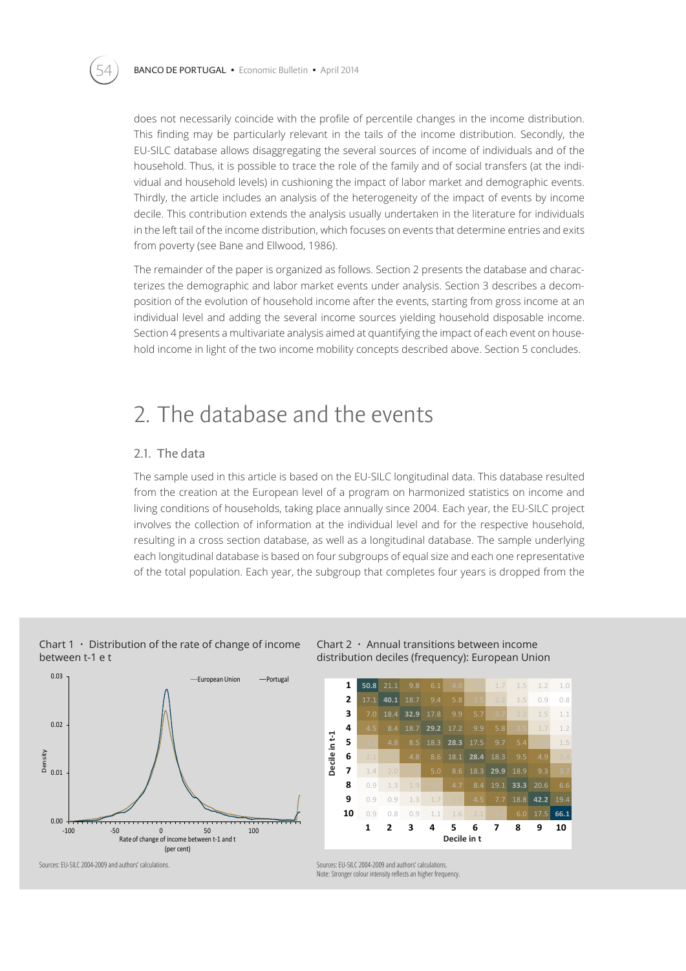does not necessarily coincide with the profile of percentile changes in the income distribution. This finding may be particularly relevant in the tails of the income distribution. Secondly, the EU-SILC database allows disaggregating the several sources of income of individuals and of the household. Thus, it is possible to trace the role of the family and of social transfers (at the individual and household levels) in cushioning the impact of labor market and demographic events. Thirdly, the article includes an analysis of the heterogeneity of the impact of events by income decile. This contribution extends the analysis usually undertaken in the literature for individuals in the left tail of the income distribution, which focuses on events that determine entries and exits from poverty (see Bane and Ellwood, 1986).

The remainder of the paper is organized as follows. Section 2 presents the database and characterizes the demographic and labor market events under analysis. Section 3 describes a decomposition of the evolution of household income after the events, starting from gross income at an individual level and adding the several income sources yielding household disposable income. Section 4 presents a multivariate analysis aimed at quantifying the impact of each event on household income in light of the two income mobility concepts described above. Section 5 concludes.

## 2. The database and the events

### 2.1. The data

The sample used in this article is based on the EU-SILC longitudinal data. This database resulted from the creation at the European level of a program on harmonized statistics on income and living conditions of households, taking place annually since 2004. Each year, the EU-SILC project involves the collection of information at the individual level and for the respective household, resulting in a cross section database, as well as a longitudinal database. The sample underlying each longitudinal database is based on four subgroups of equal size and each one representative of the total population. Each year, the subgroup that completes four years is dropped from the



#### Chart  $1 \cdot$  Distribution of the rate of change of income between t-1 e t



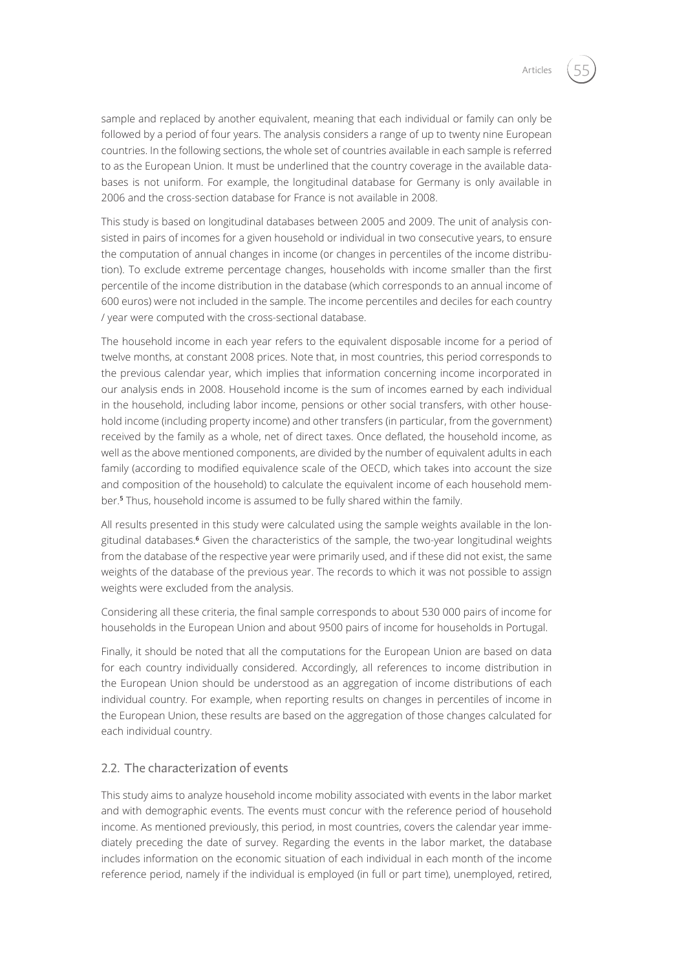sample and replaced by another equivalent, meaning that each individual or family can only be followed by a period of four years. The analysis considers a range of up to twenty nine European countries. In the following sections, the whole set of countries available in each sample is referred to as the European Union. It must be underlined that the country coverage in the available databases is not uniform. For example, the longitudinal database for Germany is only available in 2006 and the cross-section database for France is not available in 2008.

This study is based on longitudinal databases between 2005 and 2009. The unit of analysis consisted in pairs of incomes for a given household or individual in two consecutive years, to ensure the computation of annual changes in income (or changes in percentiles of the income distribution). To exclude extreme percentage changes, households with income smaller than the first percentile of the income distribution in the database (which corresponds to an annual income of 600 euros) were not included in the sample. The income percentiles and deciles for each country / year were computed with the cross-sectional database.

The household income in each year refers to the equivalent disposable income for a period of twelve months, at constant 2008 prices. Note that, in most countries, this period corresponds to the previous calendar year, which implies that information concerning income incorporated in our analysis ends in 2008. Household income is the sum of incomes earned by each individual in the household, including labor income, pensions or other social transfers, with other household income (including property income) and other transfers (in particular, from the government) received by the family as a whole, net of direct taxes. Once deflated, the household income, as well as the above mentioned components, are divided by the number of equivalent adults in each family (according to modified equivalence scale of the OECD, which takes into account the size and composition of the household) to calculate the equivalent income of each household member.**5** Thus, household income is assumed to be fully shared within the family.

All results presented in this study were calculated using the sample weights available in the longitudinal databases.**6** Given the characteristics of the sample, the two-year longitudinal weights from the database of the respective year were primarily used, and if these did not exist, the same weights of the database of the previous year. The records to which it was not possible to assign weights were excluded from the analysis.

Considering all these criteria, the final sample corresponds to about 530 000 pairs of income for households in the European Union and about 9500 pairs of income for households in Portugal.

Finally, it should be noted that all the computations for the European Union are based on data for each country individually considered. Accordingly, all references to income distribution in the European Union should be understood as an aggregation of income distributions of each individual country. For example, when reporting results on changes in percentiles of income in the European Union, these results are based on the aggregation of those changes calculated for each individual country.

### 2.2. The characterization of events

This study aims to analyze household income mobility associated with events in the labor market and with demographic events. The events must concur with the reference period of household income. As mentioned previously, this period, in most countries, covers the calendar year immediately preceding the date of survey. Regarding the events in the labor market, the database includes information on the economic situation of each individual in each month of the income reference period, namely if the individual is employed (in full or part time), unemployed, retired,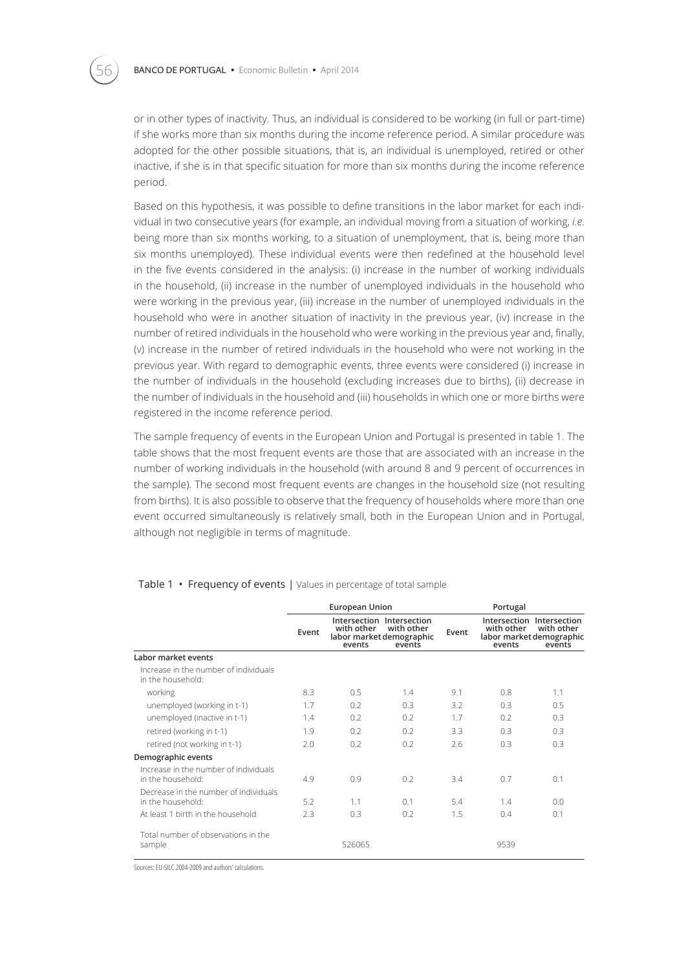or in other types of inactivity. Thus, an individual is considered to be working (in full or part-time) if she works more than six months during the income reference period. A similar procedure was adopted for the other possible situations, that is, an individual is unemployed, retired or other inactive, if she is in that specific situation for more than six months during the income reference period.

Based on this hypothesis, it was possible to define transitions in the labor market for each individual in two consecutive years (for example, an individual moving from a situation of working, *i.e*. being more than six months working, to a situation of unemployment, that is, being more than six months unemployed). These individual events were then redefined at the household level in the five events considered in the analysis: (i) increase in the number of working individuals in the household, (ii) increase in the number of unemployed individuals in the household who were working in the previous year, (iii) increase in the number of unemployed individuals in the household who were in another situation of inactivity in the previous year, (iv) increase in the number of retired individuals in the household who were working in the previous year and, finally, (v) increase in the number of retired individuals in the household who were not working in the previous year. With regard to demographic events, three events were considered (i) increase in the number of individuals in the household (excluding increases due to births), (ii) decrease in the number of individuals in the household and (iii) households in which one or more births were registered in the income reference period.

The sample frequency of events in the European Union and Portugal is presented in table 1. The table shows that the most frequent events are those that are associated with an increase in the number of working individuals in the household (with around 8 and 9 percent of occurrences in the sample). The second most frequent events are changes in the household size (not resulting from births). It is also possible to observe that the frequency of households where more than one event occurred simultaneously is relatively small, both in the European Union and in Portugal, although not negligible in terms of magnitude.

|                                                            |       | <b>European Union</b> |                                                                               | Portugal |                                                  |                                                   |  |
|------------------------------------------------------------|-------|-----------------------|-------------------------------------------------------------------------------|----------|--------------------------------------------------|---------------------------------------------------|--|
|                                                            | Event | with other<br>events  | Intersection Intersection<br>with other<br>labor market demographic<br>events | Event    | with other<br>labor market demographic<br>events | Intersection Intersection<br>with other<br>events |  |
| Labor market events                                        |       |                       |                                                                               |          |                                                  |                                                   |  |
| Increase in the number of individuals<br>in the household: |       |                       |                                                                               |          |                                                  |                                                   |  |
| working                                                    | 8.3   | 0.5                   | 1.4                                                                           | 9.1      | 0.8                                              | 1.1                                               |  |
| unemployed (working in t-1)                                | 1.7   | 0.2                   | 0.3                                                                           | 3.2      | 0.3                                              | 0.5                                               |  |
| unemployed (inactive in t-1)                               | 1.4   | 0.2                   | 0.2                                                                           | 1.7      | 0.2                                              | 0.3                                               |  |
| retired (working in t-1)                                   | 1.9   | 0.2                   | 0.2                                                                           | 3.3      | 0.3                                              | 0.3                                               |  |
| retired (not working in t-1)                               | 2.0   | 0.2                   | 0.2                                                                           | 2.6      | 0.3                                              | 0.3                                               |  |
| Demographic events                                         |       |                       |                                                                               |          |                                                  |                                                   |  |
| Increase in the number of individuals<br>in the household: | 4.9   | 0.9                   | 0.2                                                                           | 3.4      | 0.7                                              | 0.1                                               |  |
| Decrease in the number of individuals<br>in the household: | 5.2   | 1.1                   | 0.1                                                                           | 5.4      | 1.4                                              | 0.0                                               |  |
| At least 1 birth in the household                          | 2.3   | 0.3                   | 0.2                                                                           | 1.5      | 0.4                                              | 0.1                                               |  |
| Total number of observations in the<br>sample              |       | 526065                |                                                                               |          | 9539                                             |                                                   |  |

#### Table 1 • Frequency of events | Values in percentage of total sample

Sources: EU-SILC 2004-2009 and authors' calculations.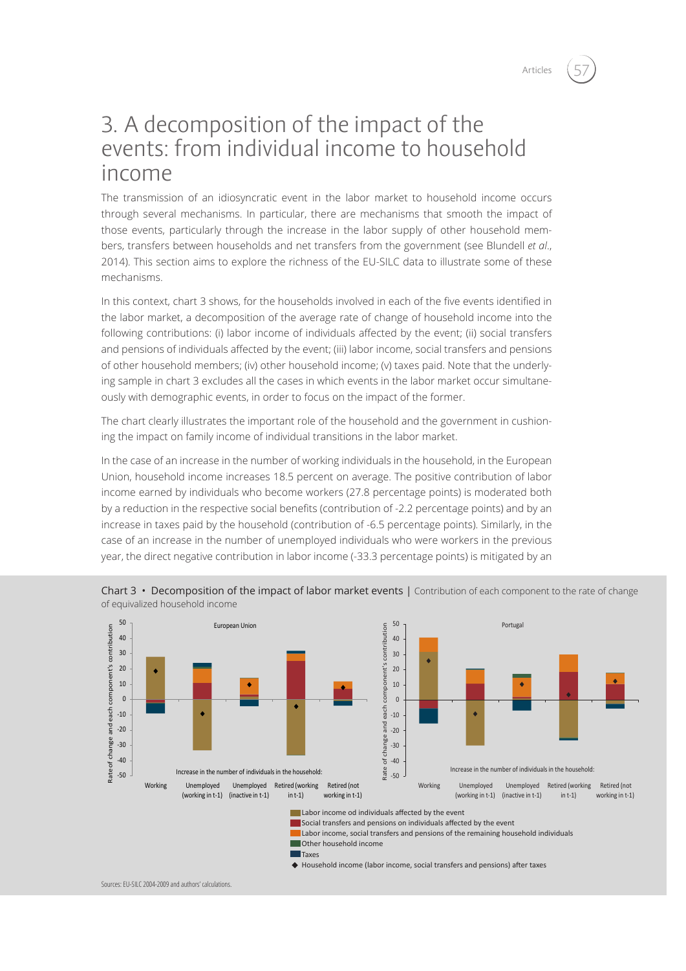# 3. A decomposition of the impact of the events: from individual income to household income

The transmission of an idiosyncratic event in the labor market to household income occurs through several mechanisms. In particular, there are mechanisms that smooth the impact of those events, particularly through the increase in the labor supply of other household members, transfers between households and net transfers from the government (see Blundell *et al*., 2014). This section aims to explore the richness of the EU-SILC data to illustrate some of these mechanisms.

In this context, chart 3 shows, for the households involved in each of the five events identified in the labor market, a decomposition of the average rate of change of household income into the following contributions: (i) labor income of individuals affected by the event; (ii) social transfers and pensions of individuals affected by the event; (iii) labor income, social transfers and pensions of other household members; (iv) other household income; (v) taxes paid. Note that the underlying sample in chart 3 excludes all the cases in which events in the labor market occur simultaneously with demographic events, in order to focus on the impact of the former.

The chart clearly illustrates the important role of the household and the government in cushioning the impact on family income of individual transitions in the labor market.

In the case of an increase in the number of working individuals in the household, in the European Union, household income increases 18.5 percent on average. The positive contribution of labor income earned by individuals who become workers (27.8 percentage points) is moderated both by a reduction in the respective social benefits (contribution of -2.2 percentage points) and by an increase in taxes paid by the household (contribution of -6.5 percentage points). Similarly, in the case of an increase in the number of unemployed individuals who were workers in the previous year, the direct negative contribution in labor income (-33.3 percentage points) is mitigated by an



Chart 3 • Decomposition of the impact of labor market events | Contribution of each component to the rate of change of equivalized household income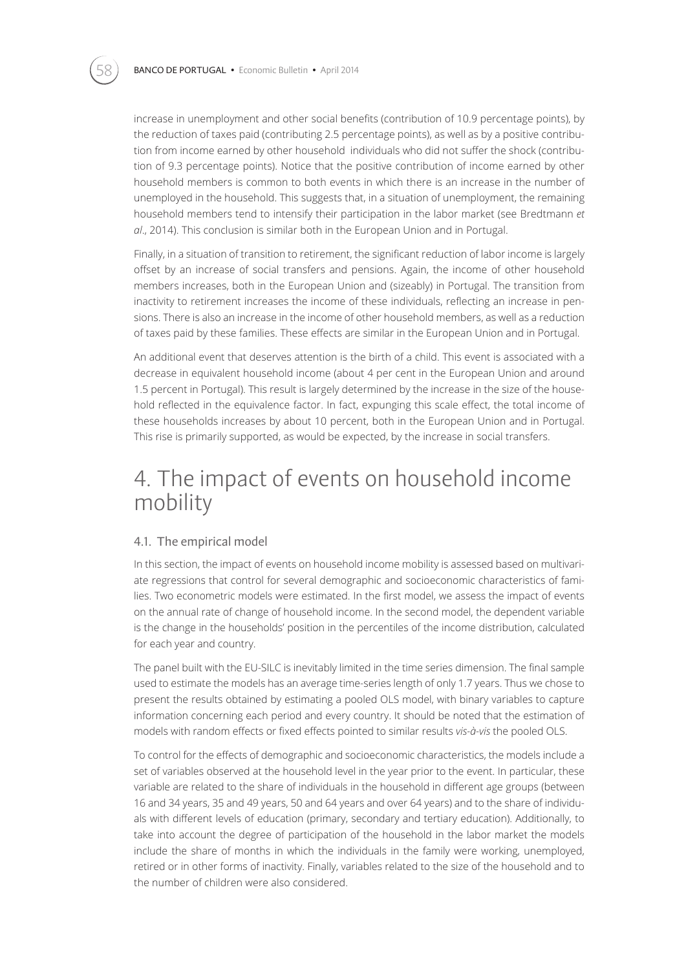increase in unemployment and other social benefits (contribution of 10.9 percentage points), by the reduction of taxes paid (contributing 2.5 percentage points), as well as by a positive contribution from income earned by other household individuals who did not suffer the shock (contribution of 9.3 percentage points). Notice that the positive contribution of income earned by other household members is common to both events in which there is an increase in the number of unemployed in the household. This suggests that, in a situation of unemployment, the remaining household members tend to intensify their participation in the labor market (see Bredtmann *et al*., 2014). This conclusion is similar both in the European Union and in Portugal.

Finally, in a situation of transition to retirement, the significant reduction of labor income is largely offset by an increase of social transfers and pensions. Again, the income of other household members increases, both in the European Union and (sizeably) in Portugal. The transition from inactivity to retirement increases the income of these individuals, reflecting an increase in pensions. There is also an increase in the income of other household members, as well as a reduction of taxes paid by these families. These effects are similar in the European Union and in Portugal.

An additional event that deserves attention is the birth of a child. This event is associated with a decrease in equivalent household income (about 4 per cent in the European Union and around 1.5 percent in Portugal). This result is largely determined by the increase in the size of the household reflected in the equivalence factor. In fact, expunging this scale effect, the total income of these households increases by about 10 percent, both in the European Union and in Portugal. This rise is primarily supported, as would be expected, by the increase in social transfers.

# 4. The impact of events on household income mobility

### 4.1. The empirical model

In this section, the impact of events on household income mobility is assessed based on multivariate regressions that control for several demographic and socioeconomic characteristics of families. Two econometric models were estimated. In the first model, we assess the impact of events on the annual rate of change of household income. In the second model, the dependent variable is the change in the households' position in the percentiles of the income distribution, calculated for each year and country.

The panel built with the EU-SILC is inevitably limited in the time series dimension. The final sample used to estimate the models has an average time-series length of only 1.7 years. Thus we chose to present the results obtained by estimating a pooled OLS model, with binary variables to capture information concerning each period and every country. It should be noted that the estimation of models with random effects or fixed effects pointed to similar results *vis-à-vis* the pooled OLS.

To control for the effects of demographic and socioeconomic characteristics, the models include a set of variables observed at the household level in the year prior to the event. In particular, these variable are related to the share of individuals in the household in different age groups (between 16 and 34 years, 35 and 49 years, 50 and 64 years and over 64 years) and to the share of individuals with different levels of education (primary, secondary and tertiary education). Additionally, to take into account the degree of participation of the household in the labor market the models include the share of months in which the individuals in the family were working, unemployed, retired or in other forms of inactivity. Finally, variables related to the size of the household and to the number of children were also considered.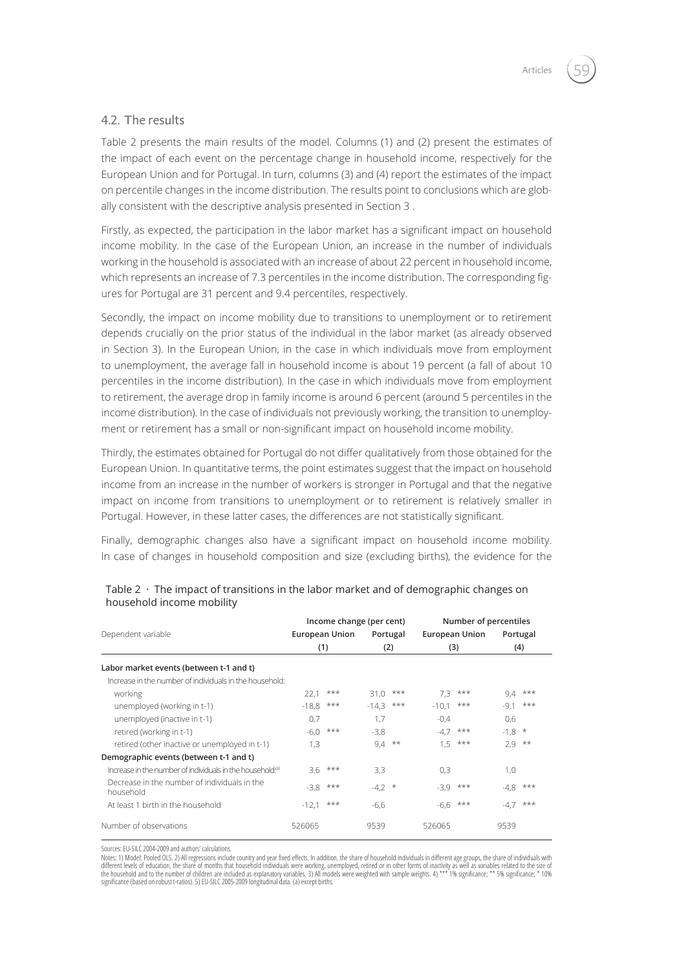### 4.2. The results

Table 2 presents the main results of the model. Columns (1) and (2) present the estimates of the impact of each event on the percentage change in household income, respectively for the European Union and for Portugal. In turn, columns (3) and (4) report the estimates of the impact on percentile changes in the income distribution. The results point to conclusions which are globally consistent with the descriptive analysis presented in Section 3 .

Firstly, as expected, the participation in the labor market has a significant impact on household income mobility. In the case of the European Union, an increase in the number of individuals working in the household is associated with an increase of about 22 percent in household income, which represents an increase of 7.3 percentiles in the income distribution. The corresponding figures for Portugal are 31 percent and 9.4 percentiles, respectively.

Secondly, the impact on income mobility due to transitions to unemployment or to retirement depends crucially on the prior status of the individual in the labor market (as already observed in Section 3). In the European Union, in the case in which individuals move from employment to unemployment, the average fall in household income is about 19 percent (a fall of about 10 percentiles in the income distribution). In the case in which individuals move from employment to retirement, the average drop in family income is around 6 percent (around 5 percentiles in the income distribution). In the case of individuals not previously working, the transition to unemployment or retirement has a small or non-significant impact on household income mobility.

Thirdly, the estimates obtained for Portugal do not differ qualitatively from those obtained for the European Union. In quantitative terms, the point estimates suggest that the impact on household income from an increase in the number of workers is stronger in Portugal and that the negative impact on income from transitions to unemployment or to retirement is relatively smaller in Portugal. However, in these latter cases, the differences are not statistically significant.

Finally, demographic changes also have a significant impact on household income mobility. In case of changes in household composition and size (excluding births), the evidence for the

|                                                                        | Income change (per cent) |          |                 |       | Number of percentiles |            |                 |       |
|------------------------------------------------------------------------|--------------------------|----------|-----------------|-------|-----------------------|------------|-----------------|-------|
| Dependent variable                                                     | European Union<br>(1)    |          | Portugal<br>(2) |       | European Union<br>(3) |            | Portugal<br>(4) |       |
|                                                                        |                          |          |                 |       |                       |            |                 |       |
| Labor market events (between t-1 and t)                                |                          |          |                 |       |                       |            |                 |       |
| Increase in the number of individuals in the household:                |                          |          |                 |       |                       |            |                 |       |
| working                                                                | 22.1                     | $***$    | 31.0            | $***$ | 7.3                   | $***$      | 9.4             | $***$ |
| unemployed (working in t-1)                                            | $-18.8$                  | $***$    | $-14,3$         | $***$ | $-10.1$               | $***$      | $-9,1$          | $***$ |
| unemployed (inactive in t-1)                                           | 0,7                      |          | 1,7             |       | $-0.4$                |            | 0,6             |       |
| retired (working in t-1)                                               | $-6,0$                   | $***$    | $-3.8$          |       | $-4.7$                | $***$      | $-1,8$ *        |       |
| retired (other inactive or unemployed in t-1)                          | 1,3                      |          | 9,4             | $***$ | 1.5                   | $***$      | $2.9$ **        |       |
| Demographic events (between t-1 and t)                                 |                          |          |                 |       |                       |            |                 |       |
| Increase in the number of individuals in the household: <sup>(a)</sup> |                          | $3.6***$ | 3,3             |       | 0,3                   |            | 1,0             |       |
| Decrease in the number of individuals in the<br>household              | $-3.8$                   | $***$    | $-4,2$ *        |       | $-3.9$                | $***$      | -4,8            | $***$ |
| At least 1 birth in the household                                      | $-12,1$                  | $***$    | $-6,6$          |       |                       | $-6,6$ *** | $-4,7$          | $***$ |
| Number of observations                                                 | 526065                   |          | 9539            |       | 526065                |            | 9539            |       |

### Table  $2 \cdot$  The impact of transitions in the labor market and of demographic changes on household income mobility

Sources: EU-SILC 2004-2009 and authors' calculations.

Notes: 1) Model: Pooled OLS. 2) All regressions include country and year fixed effects. In addition, the share of household individuals in different age groups, the share of individuals with different levels of education, the share of months that household individuals were working, unemployed, retired or in other forms of inactivity as well as variables related to the size of<br>the household and to the number of significance (based on robust t-ratios). 5) EU-SILC 2005-2009 longitudinal data. (a) except births.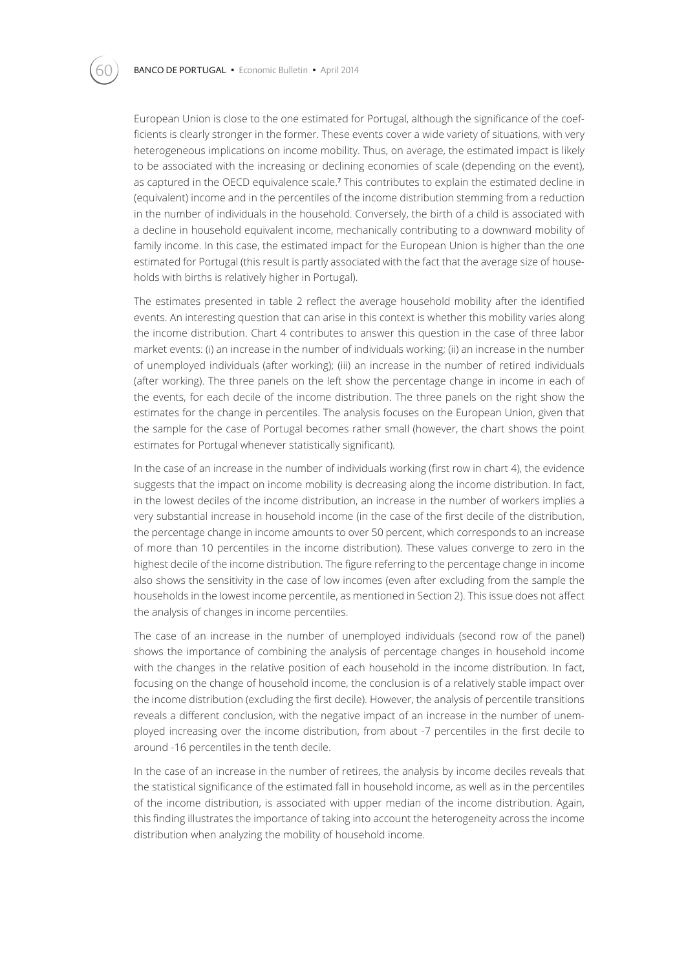European Union is close to the one estimated for Portugal, although the significance of the coefficients is clearly stronger in the former. These events cover a wide variety of situations, with very heterogeneous implications on income mobility. Thus, on average, the estimated impact is likely to be associated with the increasing or declining economies of scale (depending on the event), as captured in the OECD equivalence scale.**7** This contributes to explain the estimated decline in (equivalent) income and in the percentiles of the income distribution stemming from a reduction in the number of individuals in the household. Conversely, the birth of a child is associated with a decline in household equivalent income, mechanically contributing to a downward mobility of family income. In this case, the estimated impact for the European Union is higher than the one estimated for Portugal (this result is partly associated with the fact that the average size of households with births is relatively higher in Portugal).

The estimates presented in table 2 reflect the average household mobility after the identified events. An interesting question that can arise in this context is whether this mobility varies along the income distribution. Chart 4 contributes to answer this question in the case of three labor market events: (i) an increase in the number of individuals working; (ii) an increase in the number of unemployed individuals (after working); (iii) an increase in the number of retired individuals (after working). The three panels on the left show the percentage change in income in each of the events, for each decile of the income distribution. The three panels on the right show the estimates for the change in percentiles. The analysis focuses on the European Union, given that the sample for the case of Portugal becomes rather small (however, the chart shows the point estimates for Portugal whenever statistically significant).

In the case of an increase in the number of individuals working (first row in chart 4), the evidence suggests that the impact on income mobility is decreasing along the income distribution. In fact, in the lowest deciles of the income distribution, an increase in the number of workers implies a very substantial increase in household income (in the case of the first decile of the distribution, the percentage change in income amounts to over 50 percent, which corresponds to an increase of more than 10 percentiles in the income distribution). These values converge to zero in the highest decile of the income distribution. The figure referring to the percentage change in income also shows the sensitivity in the case of low incomes (even after excluding from the sample the households in the lowest income percentile, as mentioned in Section 2). This issue does not affect the analysis of changes in income percentiles.

The case of an increase in the number of unemployed individuals (second row of the panel) shows the importance of combining the analysis of percentage changes in household income with the changes in the relative position of each household in the income distribution. In fact, focusing on the change of household income, the conclusion is of a relatively stable impact over the income distribution (excluding the first decile). However, the analysis of percentile transitions reveals a different conclusion, with the negative impact of an increase in the number of unemployed increasing over the income distribution, from about -7 percentiles in the first decile to around -16 percentiles in the tenth decile.

In the case of an increase in the number of retirees, the analysis by income deciles reveals that the statistical significance of the estimated fall in household income, as well as in the percentiles of the income distribution, is associated with upper median of the income distribution. Again, this finding illustrates the importance of taking into account the heterogeneity across the income distribution when analyzing the mobility of household income.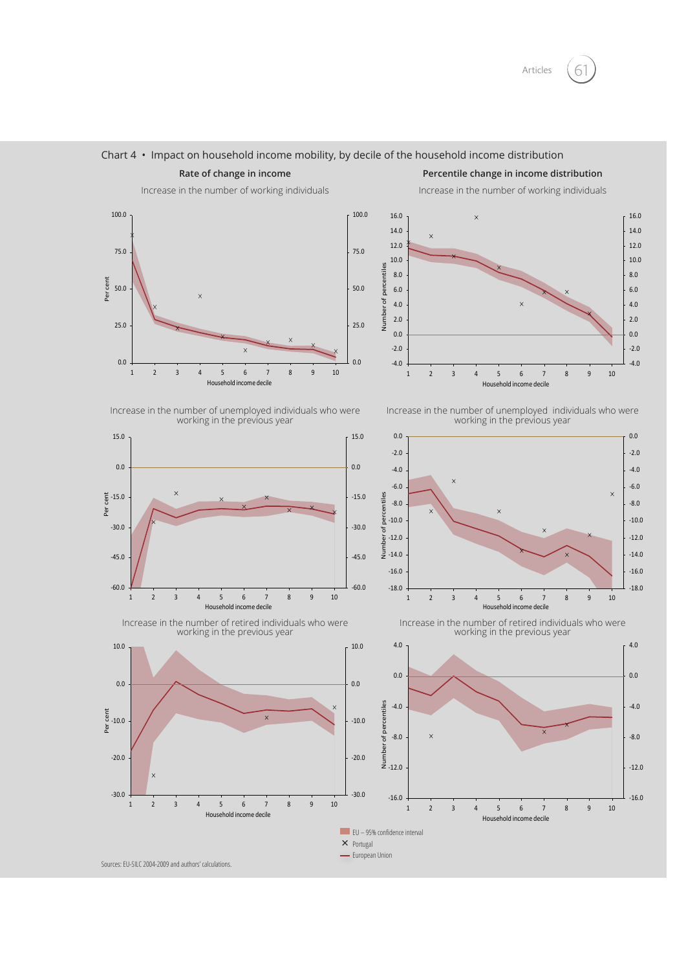



#### Chart  $4 \cdot$  Impact on household income mobility, by decile of the household income distribution

**Rate of change in income Percentile change in income distribution**

Increase in the number of working individuals Increase in the number of working individuals



Increase in the number of unemployed individuals who were working in the previous year



Increase in the number of unemployed individuals who were working in the previous year



Increase in the number of retired individuals who were working in the previous year

-30.0

-20.0

 $-10.0$ 

Per cent

Per cent

0.0

10.0

Increase in the number of retired individuals who were working in the previous year

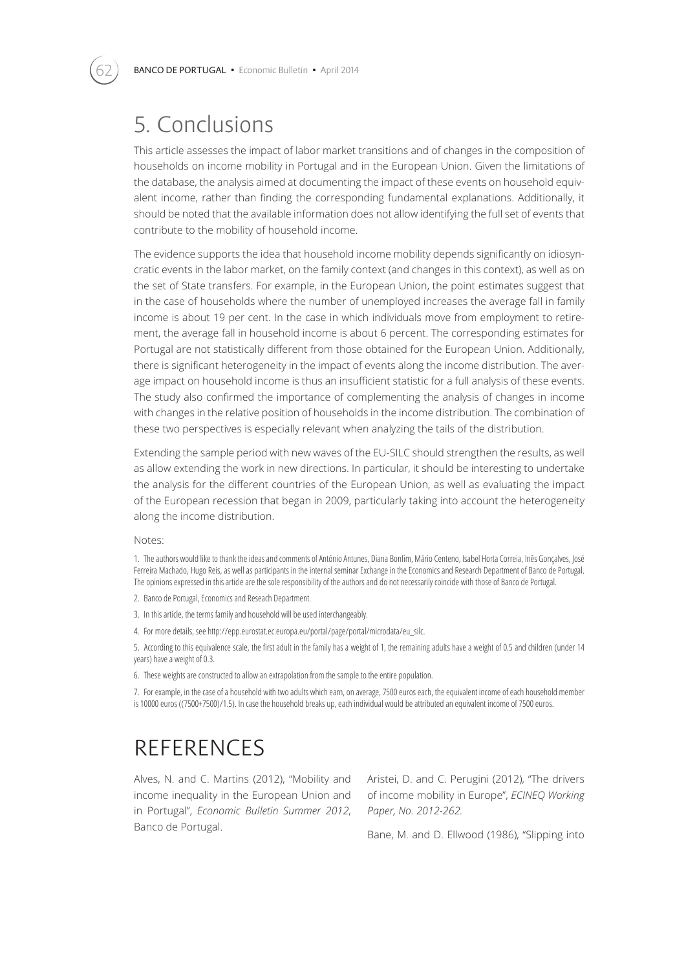# 5. Conclusions

This article assesses the impact of labor market transitions and of changes in the composition of households on income mobility in Portugal and in the European Union. Given the limitations of the database, the analysis aimed at documenting the impact of these events on household equivalent income, rather than finding the corresponding fundamental explanations. Additionally, it should be noted that the available information does not allow identifying the full set of events that contribute to the mobility of household income.

The evidence supports the idea that household income mobility depends significantly on idiosyncratic events in the labor market, on the family context (and changes in this context), as well as on the set of State transfers. For example, in the European Union, the point estimates suggest that in the case of households where the number of unemployed increases the average fall in family income is about 19 per cent. In the case in which individuals move from employment to retirement, the average fall in household income is about 6 percent. The corresponding estimates for Portugal are not statistically different from those obtained for the European Union. Additionally, there is significant heterogeneity in the impact of events along the income distribution. The average impact on household income is thus an insufficient statistic for a full analysis of these events. The study also confirmed the importance of complementing the analysis of changes in income with changes in the relative position of households in the income distribution. The combination of these two perspectives is especially relevant when analyzing the tails of the distribution.

Extending the sample period with new waves of the EU-SILC should strengthen the results, as well as allow extending the work in new directions. In particular, it should be interesting to undertake the analysis for the different countries of the European Union, as well as evaluating the impact of the European recession that began in 2009, particularly taking into account the heterogeneity along the income distribution.

#### Notes:

1. The authors would like to thank the ideas and comments of António Antunes, Diana Bonfim, Mário Centeno, Isabel Horta Correia, Inês Gonçalves, José Ferreira Machado, Hugo Reis, as well as participants in the internal seminar Exchange in the Economics and Research Department of Banco de Portugal. The opinions expressed in this article are the sole responsibility of the authors and do not necessarily coincide with those of Banco de Portugal.

2. Banco de Portugal, Economics and Reseach Department.

3. In this article, the terms family and household will be used interchangeably.

4. For more details, see http://epp.eurostat.ec.europa.eu/portal/page/portal/microdata/eu\_silc.

5. According to this equivalence scale, the first adult in the family has a weight of 1, the remaining adults have a weight of 0.5 and children (under 14 years) have a weight of 0.3.

6. These weights are constructed to allow an extrapolation from the sample to the entire population.

7. For example, in the case of a household with two adults which earn, on average, 7500 euros each, the equivalent income of each household member is 10000 euros ((7500+7500)/1.5). In case the household breaks up, each individual would be attributed an equivalent income of 7500 euros.

## **REFERENCES**

Alves, N. and C. Martins (2012), "Mobility and income inequality in the European Union and in Portugal", *Economic Bulletin Summer 2012*, Banco de Portugal.

Aristei, D. and C. Perugini (2012), "The drivers of income mobility in Europe", *ECINEQ Working Paper, No. 2012-262.*

Bane, M. and D. Ellwood (1986), "Slipping into